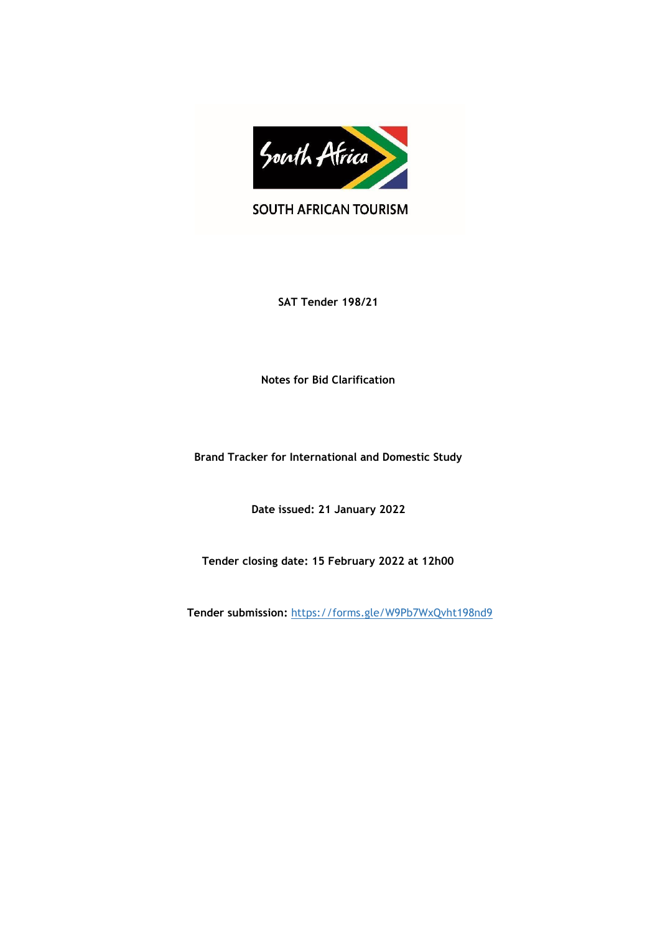

SOUTH AFRICAN TOURISM

**SAT Tender 198/21**

**Notes for Bid Clarification**

**Brand Tracker for International and Domestic Study**

**Date issued: 21 January 2022**

**Tender closing date: 15 February 2022 at 12h00**

**Tender submission:** <https://forms.gle/W9Pb7WxQvht198nd9>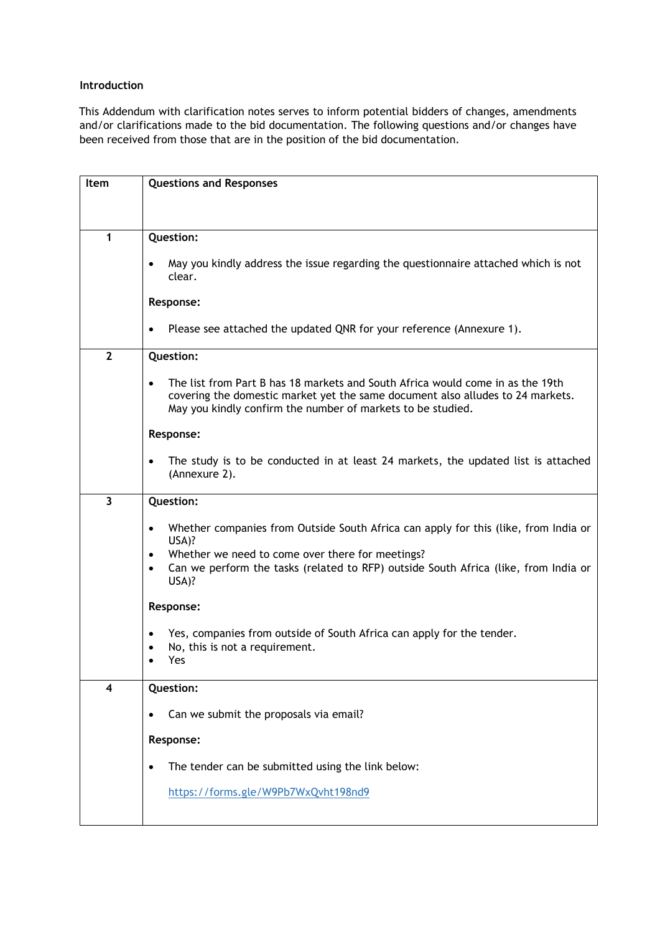## **Introduction**

This Addendum with clarification notes serves to inform potential bidders of changes, amendments and/or clarifications made to the bid documentation. The following questions and/or changes have been received from those that are in the position of the bid documentation.

| <b>Item</b>             | <b>Questions and Responses</b>                                                                                                                                                                                                               |
|-------------------------|----------------------------------------------------------------------------------------------------------------------------------------------------------------------------------------------------------------------------------------------|
|                         |                                                                                                                                                                                                                                              |
|                         |                                                                                                                                                                                                                                              |
| 1                       | Question:                                                                                                                                                                                                                                    |
|                         | May you kindly address the issue regarding the questionnaire attached which is not<br>$\bullet$<br>clear.                                                                                                                                    |
|                         |                                                                                                                                                                                                                                              |
|                         | Response:                                                                                                                                                                                                                                    |
|                         | Please see attached the updated QNR for your reference (Annexure 1).<br>$\bullet$                                                                                                                                                            |
| $\overline{2}$          | Question:                                                                                                                                                                                                                                    |
|                         | The list from Part B has 18 markets and South Africa would come in as the 19th<br>$\bullet$<br>covering the domestic market yet the same document also alludes to 24 markets.<br>May you kindly confirm the number of markets to be studied. |
|                         | Response:                                                                                                                                                                                                                                    |
|                         | $\bullet$<br>The study is to be conducted in at least 24 markets, the updated list is attached<br>(Annexure 2).                                                                                                                              |
| 3                       | Question:                                                                                                                                                                                                                                    |
|                         |                                                                                                                                                                                                                                              |
|                         | Whether companies from Outside South Africa can apply for this (like, from India or<br>$\bullet$<br>USA)?                                                                                                                                    |
|                         | Whether we need to come over there for meetings?<br>$\bullet$                                                                                                                                                                                |
|                         | Can we perform the tasks (related to RFP) outside South Africa (like, from India or<br>$\bullet$<br>USA)?                                                                                                                                    |
|                         | Response:                                                                                                                                                                                                                                    |
|                         | Yes, companies from outside of South Africa can apply for the tender.<br>$\bullet$                                                                                                                                                           |
|                         | No, this is not a requirement.<br>$\bullet$                                                                                                                                                                                                  |
|                         | Yes                                                                                                                                                                                                                                          |
| $\overline{\mathbf{4}}$ | Question:                                                                                                                                                                                                                                    |
|                         | Can we submit the proposals via email?                                                                                                                                                                                                       |
|                         |                                                                                                                                                                                                                                              |
|                         | Response:                                                                                                                                                                                                                                    |
|                         | The tender can be submitted using the link below:<br>$\bullet$                                                                                                                                                                               |
|                         | https://forms.gle/W9Pb7WxQvht198nd9                                                                                                                                                                                                          |
|                         |                                                                                                                                                                                                                                              |
|                         |                                                                                                                                                                                                                                              |